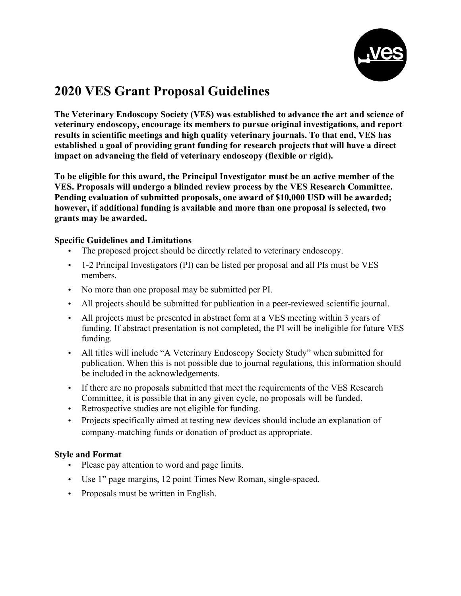

## **2020 VES Grant Proposal Guidelines**

**The Veterinary Endoscopy Society (VES) was established to advance the art and science of veterinary endoscopy, encourage its members to pursue original investigations, and report results in scientific meetings and high quality veterinary journals. To that end, VES has established a goal of providing grant funding for research projects that will have a direct impact on advancing the field of veterinary endoscopy (flexible or rigid).**

**To be eligible for this award, the Principal Investigator must be an active member of the VES. Proposals will undergo a blinded review process by the VES Research Committee. Pending evaluation of submitted proposals, one award of \$10,000 USD will be awarded; however, if additional funding is available and more than one proposal is selected, two grants may be awarded.**

#### **Specific Guidelines and Limitations**

- The proposed project should be directly related to veterinary endoscopy.
- 1-2 Principal Investigators (PI) can be listed per proposal and all PIs must be VES members.
- No more than one proposal may be submitted per PI.
- All projects should be submitted for publication in a peer-reviewed scientific journal.
- All projects must be presented in abstract form at a VES meeting within 3 years of funding. If abstract presentation is not completed, the PI will be ineligible for future VES funding.
- All titles will include "A Veterinary Endoscopy Society Study" when submitted for publication. When this is not possible due to journal regulations, this information should be included in the acknowledgements.
- If there are no proposals submitted that meet the requirements of the VES Research Committee, it is possible that in any given cycle, no proposals will be funded.
- Retrospective studies are not eligible for funding.
- Projects specifically aimed at testing new devices should include an explanation of company-matching funds or donation of product as appropriate.

#### **Style and Format**

- Please pay attention to word and page limits.
- Use 1" page margins, 12 point Times New Roman, single-spaced.
- Proposals must be written in English.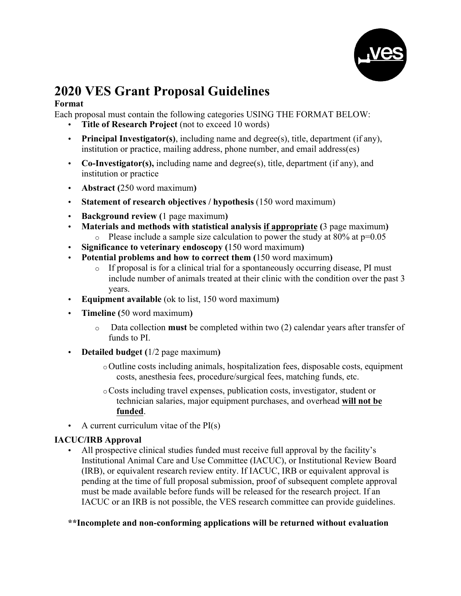

## **2020 VES Grant Proposal Guidelines**

### **Format**

Each proposal must contain the following categories USING THE FORMAT BELOW:

- **Title of Research Project** (not to exceed 10 words)
- **Principal Investigator(s)**, including name and degree(s), title, department (if any), institution or practice, mailing address, phone number, and email address(es)
- **Co-Investigator(s),** including name and degree(s), title, department (if any), and institution or practice
- **Abstract (**250 word maximum**)**
- **Statement of research objectives / hypothesis** (150 word maximum)
- **Background review (**1 page maximum**)**
- **Materials and methods with statistical analysis if appropriate (**3 page maximum**)** o Please include a sample size calculation to power the study at  $80\%$  at  $p=0.05$
- **Significance to veterinary endoscopy (**150 word maximum**)**
- **Potential problems and how to correct them (**150 word maximum**)**
	- $\circ$  If proposal is for a clinical trial for a spontaneously occurring disease, PI must include number of animals treated at their clinic with the condition over the past 3 years.
- **Equipment available** (ok to list, 150 word maximum**)**
- **Timeline (**50 word maximum**)**
	- o Data collection **must** be completed within two (2) calendar years after transfer of funds to PI.
- **Detailed budget (**1/2 page maximum**)**
	- oOutline costs including animals, hospitalization fees, disposable costs, equipment costs, anesthesia fees, procedure/surgical fees, matching funds, etc.
	- oCosts including travel expenses, publication costs, investigator, student or technician salaries, major equipment purchases, and overhead **will not be funded**.
- A current curriculum vitae of the  $PI(s)$

### **IACUC/IRB Approval**

• All prospective clinical studies funded must receive full approval by the facility's Institutional Animal Care and Use Committee (IACUC), or Institutional Review Board (IRB), or equivalent research review entity. If IACUC, IRB or equivalent approval is pending at the time of full proposal submission, proof of subsequent complete approval must be made available before funds will be released for the research project. If an IACUC or an IRB is not possible, the VES research committee can provide guidelines.

**\*\*Incomplete and non-conforming applications will be returned without evaluation**